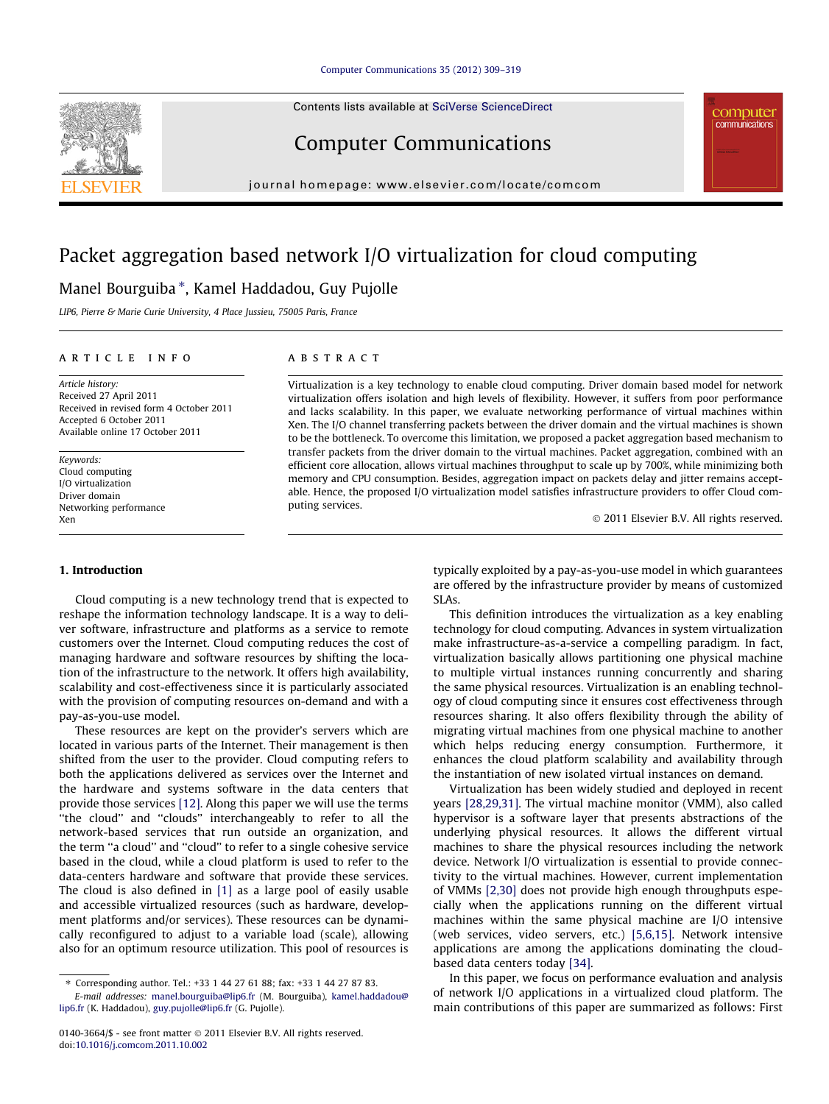#### [Computer Communications 35 \(2012\) 309–319](http://dx.doi.org/10.1016/j.comcom.2011.10.002)

Contents lists available at [SciVerse ScienceDirect](http://www.sciencedirect.com/science/journal/01403664)

# Computer Communications

journal homepage: [www.elsevier.com/locate/comcom](http://www.elsevier.com/locate/comcom)

# Packet aggregation based network I/O virtualization for cloud computing

# Manel Bourguiba<sup>\*</sup>, Kamel Haddadou, Guy Pujolle

LIP6, Pierre & Marie Curie University, 4 Place Jussieu, 75005 Paris, France

## article info

Article history: Received 27 April 2011 Received in revised form 4 October 2011 Accepted 6 October 2011 Available online 17 October 2011

Keywords: Cloud computing I/O virtualization Driver domain Networking performance Xen

### 1. Introduction

Cloud computing is a new technology trend that is expected to reshape the information technology landscape. It is a way to deliver software, infrastructure and platforms as a service to remote customers over the Internet. Cloud computing reduces the cost of managing hardware and software resources by shifting the location of the infrastructure to the network. It offers high availability, scalability and cost-effectiveness since it is particularly associated with the provision of computing resources on-demand and with a pay-as-you-use model.

These resources are kept on the provider's servers which are located in various parts of the Internet. Their management is then shifted from the user to the provider. Cloud computing refers to both the applications delivered as services over the Internet and the hardware and systems software in the data centers that provide those services [\[12\].](#page--1-0) Along this paper we will use the terms "the cloud" and "clouds" interchangeably to refer to all the network-based services that run outside an organization, and the term ''a cloud'' and ''cloud'' to refer to a single cohesive service based in the cloud, while a cloud platform is used to refer to the data-centers hardware and software that provide these services. The cloud is also defined in [\[1\]](#page--1-0) as a large pool of easily usable and accessible virtualized resources (such as hardware, development platforms and/or services). These resources can be dynamically reconfigured to adjust to a variable load (scale), allowing also for an optimum resource utilization. This pool of resources is

### **ABSTRACT**

Virtualization is a key technology to enable cloud computing. Driver domain based model for network virtualization offers isolation and high levels of flexibility. However, it suffers from poor performance and lacks scalability. In this paper, we evaluate networking performance of virtual machines within Xen. The I/O channel transferring packets between the driver domain and the virtual machines is shown to be the bottleneck. To overcome this limitation, we proposed a packet aggregation based mechanism to transfer packets from the driver domain to the virtual machines. Packet aggregation, combined with an efficient core allocation, allows virtual machines throughput to scale up by 700%, while minimizing both memory and CPU consumption. Besides, aggregation impact on packets delay and jitter remains acceptable. Hence, the proposed I/O virtualization model satisfies infrastructure providers to offer Cloud computing services.

- 2011 Elsevier B.V. All rights reserved.

computer communications

typically exploited by a pay-as-you-use model in which guarantees are offered by the infrastructure provider by means of customized SLAs.

This definition introduces the virtualization as a key enabling technology for cloud computing. Advances in system virtualization make infrastructure-as-a-service a compelling paradigm. In fact, virtualization basically allows partitioning one physical machine to multiple virtual instances running concurrently and sharing the same physical resources. Virtualization is an enabling technology of cloud computing since it ensures cost effectiveness through resources sharing. It also offers flexibility through the ability of migrating virtual machines from one physical machine to another which helps reducing energy consumption. Furthermore, it enhances the cloud platform scalability and availability through the instantiation of new isolated virtual instances on demand.

Virtualization has been widely studied and deployed in recent years [\[28,29,31\].](#page--1-0) The virtual machine monitor (VMM), also called hypervisor is a software layer that presents abstractions of the underlying physical resources. It allows the different virtual machines to share the physical resources including the network device. Network I/O virtualization is essential to provide connectivity to the virtual machines. However, current implementation of VMMs [\[2,30\]](#page--1-0) does not provide high enough throughputs especially when the applications running on the different virtual machines within the same physical machine are I/O intensive (web services, video servers, etc.) [\[5,6,15\].](#page--1-0) Network intensive applications are among the applications dominating the cloudbased data centers today [\[34\]](#page--1-0).

In this paper, we focus on performance evaluation and analysis of network I/O applications in a virtualized cloud platform. The main contributions of this paper are summarized as follows: First



<sup>⇑</sup> Corresponding author. Tel.: +33 1 44 27 61 88; fax: +33 1 44 27 87 83.

E-mail addresses: [manel.bourguiba@lip6.fr](mailto:manel.bourguiba@lip6.fr) (M. Bourguiba), [kamel.haddadou@](mailto:kamel.haddadou@ lip6.fr) [lip6.fr](mailto:kamel.haddadou@ lip6.fr) (K. Haddadou), [guy.pujolle@lip6.fr](mailto:guy.pujolle@lip6.fr) (G. Pujolle).

<sup>0140-3664/\$ -</sup> see front matter © 2011 Elsevier B.V. All rights reserved. doi[:10.1016/j.comcom.2011.10.002](http://dx.doi.org/10.1016/j.comcom.2011.10.002)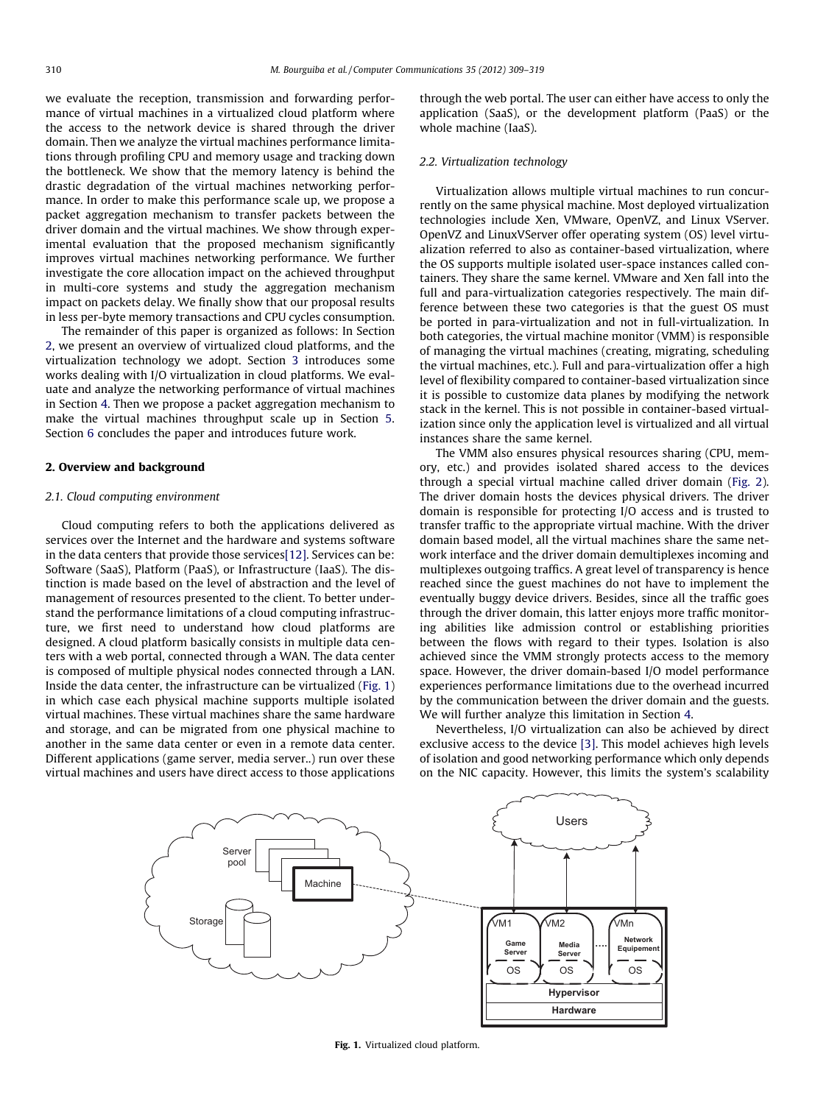we evaluate the reception, transmission and forwarding performance of virtual machines in a virtualized cloud platform where the access to the network device is shared through the driver domain. Then we analyze the virtual machines performance limitations through profiling CPU and memory usage and tracking down the bottleneck. We show that the memory latency is behind the drastic degradation of the virtual machines networking performance. In order to make this performance scale up, we propose a packet aggregation mechanism to transfer packets between the driver domain and the virtual machines. We show through experimental evaluation that the proposed mechanism significantly improves virtual machines networking performance. We further investigate the core allocation impact on the achieved throughput in multi-core systems and study the aggregation mechanism impact on packets delay. We finally show that our proposal results in less per-byte memory transactions and CPU cycles consumption.

The remainder of this paper is organized as follows: In Section 2, we present an overview of virtualized cloud platforms, and the virtualization technology we adopt. Section [3](#page--1-0) introduces some works dealing with I/O virtualization in cloud platforms. We evaluate and analyze the networking performance of virtual machines in Section [4](#page--1-0). Then we propose a packet aggregation mechanism to make the virtual machines throughput scale up in Section [5.](#page--1-0) Section [6](#page--1-0) concludes the paper and introduces future work.

#### 2. Overview and background

#### 2.1. Cloud computing environment

Cloud computing refers to both the applications delivered as services over the Internet and the hardware and systems software in the data centers that provide those services[\[12\]](#page--1-0). Services can be: Software (SaaS), Platform (PaaS), or Infrastructure (IaaS). The distinction is made based on the level of abstraction and the level of management of resources presented to the client. To better understand the performance limitations of a cloud computing infrastructure, we first need to understand how cloud platforms are designed. A cloud platform basically consists in multiple data centers with a web portal, connected through a WAN. The data center is composed of multiple physical nodes connected through a LAN. Inside the data center, the infrastructure can be virtualized (Fig. 1) in which case each physical machine supports multiple isolated virtual machines. These virtual machines share the same hardware and storage, and can be migrated from one physical machine to another in the same data center or even in a remote data center. Different applications (game server, media server..) run over these virtual machines and users have direct access to those applications through the web portal. The user can either have access to only the application (SaaS), or the development platform (PaaS) or the whole machine (IaaS).

#### 2.2. Virtualization technology

Virtualization allows multiple virtual machines to run concurrently on the same physical machine. Most deployed virtualization technologies include Xen, VMware, OpenVZ, and Linux VServer. OpenVZ and LinuxVServer offer operating system (OS) level virtualization referred to also as container-based virtualization, where the OS supports multiple isolated user-space instances called containers. They share the same kernel. VMware and Xen fall into the full and para-virtualization categories respectively. The main difference between these two categories is that the guest OS must be ported in para-virtualization and not in full-virtualization. In both categories, the virtual machine monitor (VMM) is responsible of managing the virtual machines (creating, migrating, scheduling the virtual machines, etc.). Full and para-virtualization offer a high level of flexibility compared to container-based virtualization since it is possible to customize data planes by modifying the network stack in the kernel. This is not possible in container-based virtualization since only the application level is virtualized and all virtual instances share the same kernel.

The VMM also ensures physical resources sharing (CPU, memory, etc.) and provides isolated shared access to the devices through a special virtual machine called driver domain [\(Fig. 2\)](#page--1-0). The driver domain hosts the devices physical drivers. The driver domain is responsible for protecting I/O access and is trusted to transfer traffic to the appropriate virtual machine. With the driver domain based model, all the virtual machines share the same network interface and the driver domain demultiplexes incoming and multiplexes outgoing traffics. A great level of transparency is hence reached since the guest machines do not have to implement the eventually buggy device drivers. Besides, since all the traffic goes through the driver domain, this latter enjoys more traffic monitoring abilities like admission control or establishing priorities between the flows with regard to their types. Isolation is also achieved since the VMM strongly protects access to the memory space. However, the driver domain-based I/O model performance experiences performance limitations due to the overhead incurred by the communication between the driver domain and the guests. We will further analyze this limitation in Section [4.](#page--1-0)

Nevertheless, I/O virtualization can also be achieved by direct exclusive access to the device [\[3\].](#page--1-0) This model achieves high levels of isolation and good networking performance which only depends on the NIC capacity. However, this limits the system's scalability



Fig. 1. Virtualized cloud platform.